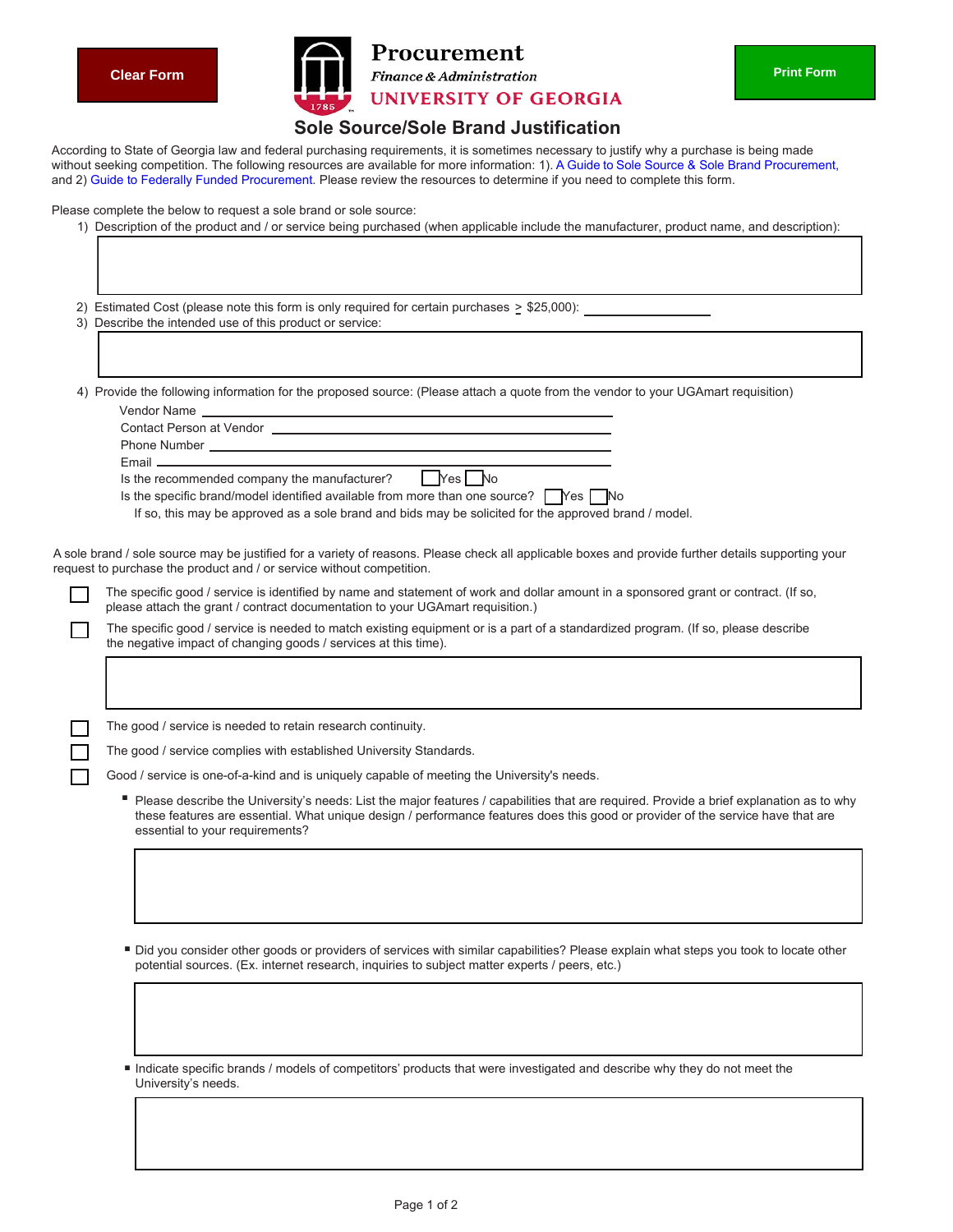

## **UNIVERSITY OF GEORGIA Sole Source/Sole Brand Justification**

| <b>Clear Form</b>                                                                                        | <b>Finance &amp; Administration</b>                                                                                                                                                                                                                                                                                                                                                                                                                                                                                                                                                                                | <b>Print Form</b> |
|----------------------------------------------------------------------------------------------------------|--------------------------------------------------------------------------------------------------------------------------------------------------------------------------------------------------------------------------------------------------------------------------------------------------------------------------------------------------------------------------------------------------------------------------------------------------------------------------------------------------------------------------------------------------------------------------------------------------------------------|-------------------|
|                                                                                                          | <b>UNIVERSITY OF GEORGIA</b>                                                                                                                                                                                                                                                                                                                                                                                                                                                                                                                                                                                       |                   |
| Please complete the below to request a sole brand or sole source:                                        | <b>Sole Source/Sole Brand Justification</b><br>According to State of Georgia law and federal purchasing requirements, it is sometimes necessary to justify why a purchase is being made<br>without seeking competition. The following resources are available for more information: 1). A Guide to Sole Source & Sole Brand Procurement,<br>and 2) Guide to Federally Funded Procurement. Please review the resources to determine if you need to complete this form.<br>1) Description of the product and / or service being purchased (when applicable include the manufacturer, product name, and description): |                   |
| 3) Describe the intended use of this product or service:                                                 | 2) Estimated Cost (please note this form is only required for certain purchases $\geq$ \$25,000):                                                                                                                                                                                                                                                                                                                                                                                                                                                                                                                  |                   |
|                                                                                                          |                                                                                                                                                                                                                                                                                                                                                                                                                                                                                                                                                                                                                    |                   |
|                                                                                                          | 4) Provide the following information for the proposed source: (Please attach a quote from the vendor to your UGAmart requisition)                                                                                                                                                                                                                                                                                                                                                                                                                                                                                  |                   |
|                                                                                                          |                                                                                                                                                                                                                                                                                                                                                                                                                                                                                                                                                                                                                    |                   |
| $E$ mail $\frac{1}{2}$<br>Is the recommended company the manufacturer?                                   | I Yes No<br>Is the specific brand/model identified available from more than one source? $\Box$ Yes $\Box$ No<br>If so, this may be approved as a sole brand and bids may be solicited for the approved brand / model.                                                                                                                                                                                                                                                                                                                                                                                              |                   |
|                                                                                                          |                                                                                                                                                                                                                                                                                                                                                                                                                                                                                                                                                                                                                    |                   |
|                                                                                                          |                                                                                                                                                                                                                                                                                                                                                                                                                                                                                                                                                                                                                    |                   |
|                                                                                                          | A sole brand / sole source may be justified for a variety of reasons. Please check all applicable boxes and provide further details supporting your                                                                                                                                                                                                                                                                                                                                                                                                                                                                |                   |
|                                                                                                          | The specific good / service is identified by name and statement of work and dollar amount in a sponsored grant or contract. (If so,<br>please attach the grant / contract documentation to your UGAmart requisition.)                                                                                                                                                                                                                                                                                                                                                                                              |                   |
| the negative impact of changing goods / services at this time).                                          | The specific good / service is needed to match existing equipment or is a part of a standardized program. (If so, please describe                                                                                                                                                                                                                                                                                                                                                                                                                                                                                  |                   |
|                                                                                                          |                                                                                                                                                                                                                                                                                                                                                                                                                                                                                                                                                                                                                    |                   |
| The good / service is needed to retain research continuity.                                              |                                                                                                                                                                                                                                                                                                                                                                                                                                                                                                                                                                                                                    |                   |
| The good / service complies with established University Standards.                                       |                                                                                                                                                                                                                                                                                                                                                                                                                                                                                                                                                                                                                    |                   |
|                                                                                                          | Good / service is one-of-a-kind and is uniquely capable of meeting the University's needs.                                                                                                                                                                                                                                                                                                                                                                                                                                                                                                                         |                   |
| request to purchase the product and / or service without competition.<br>essential to your requirements? | ■ Please describe the University's needs: List the major features / capabilities that are required. Provide a brief explanation as to why<br>these features are essential. What unique design / performance features does this good or provider of the service have that are                                                                                                                                                                                                                                                                                                                                       |                   |
|                                                                                                          |                                                                                                                                                                                                                                                                                                                                                                                                                                                                                                                                                                                                                    |                   |
|                                                                                                          | Did you consider other goods or providers of services with similar capabilities? Please explain what steps you took to locate other<br>potential sources. (Ex. internet research, inquiries to subject matter experts / peers, etc.)                                                                                                                                                                                                                                                                                                                                                                               |                   |
|                                                                                                          |                                                                                                                                                                                                                                                                                                                                                                                                                                                                                                                                                                                                                    |                   |